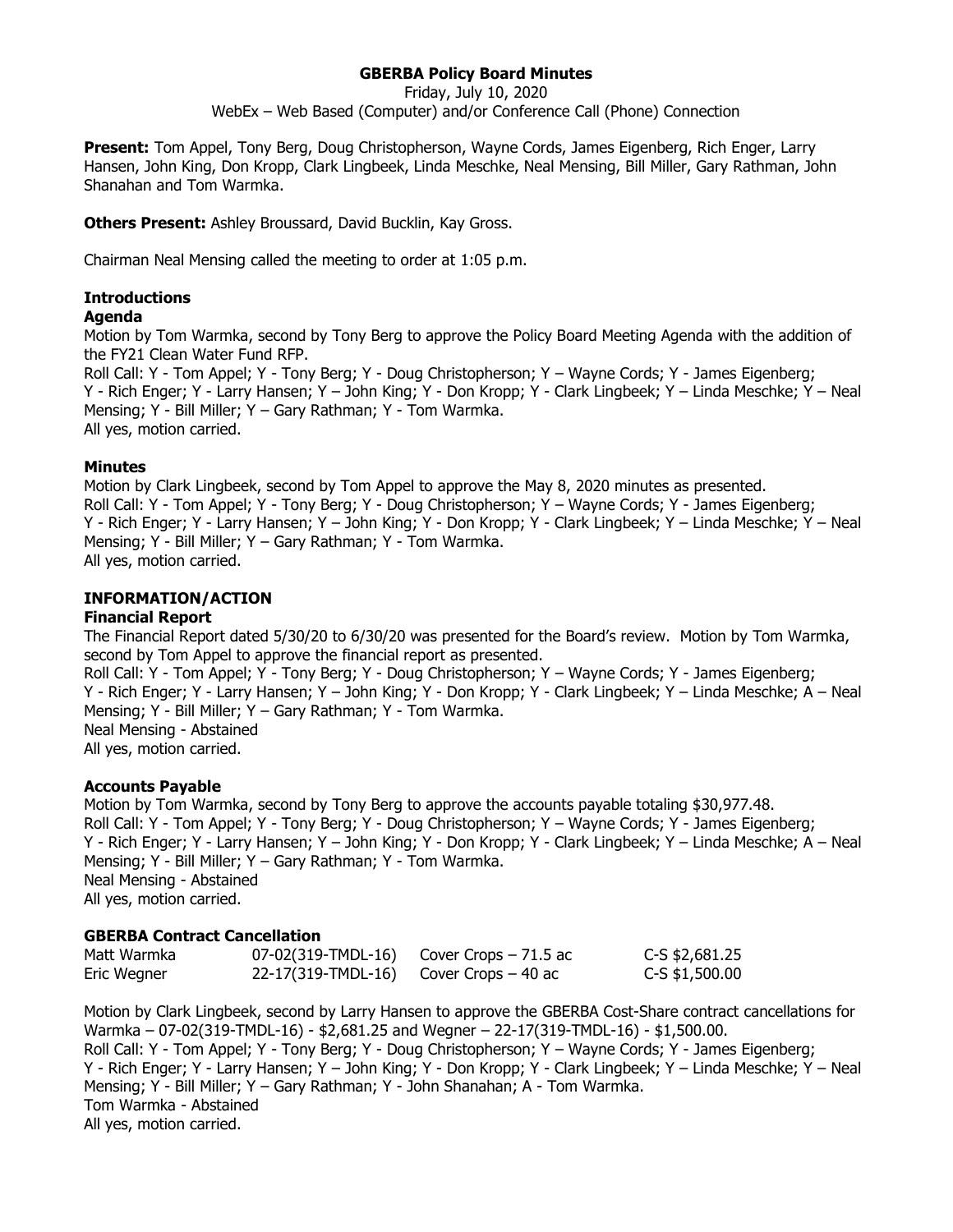# **GBERBA Policy Board Minutes**

Friday, July 10, 2020

WebEx – Web Based (Computer) and/or Conference Call (Phone) Connection

**Present:** Tom Appel, Tony Berg, Doug Christopherson, Wayne Cords, James Eigenberg, Rich Enger, Larry Hansen, John King, Don Kropp, Clark Lingbeek, Linda Meschke, Neal Mensing, Bill Miller, Gary Rathman, John Shanahan and Tom Warmka.

**Others Present:** Ashley Broussard, David Bucklin, Kay Gross.

Chairman Neal Mensing called the meeting to order at 1:05 p.m.

## **Introductions**

#### **Agenda**

Motion by Tom Warmka, second by Tony Berg to approve the Policy Board Meeting Agenda with the addition of the FY21 Clean Water Fund RFP.

Roll Call: Y - Tom Appel; Y - Tony Berg; Y - Doug Christopherson; Y – Wayne Cords; Y - James Eigenberg; Y - Rich Enger; Y - Larry Hansen; Y – John King; Y - Don Kropp; Y - Clark Lingbeek; Y – Linda Meschke; Y – Neal Mensing; Y - Bill Miller; Y – Gary Rathman; Y - Tom Warmka. All yes, motion carried.

### **Minutes**

Motion by Clark Lingbeek, second by Tom Appel to approve the May 8, 2020 minutes as presented. Roll Call: Y - Tom Appel; Y - Tony Berg; Y - Doug Christopherson; Y – Wayne Cords; Y - James Eigenberg; Y - Rich Enger; Y - Larry Hansen; Y – John King; Y - Don Kropp; Y - Clark Lingbeek; Y – Linda Meschke; Y – Neal Mensing; Y - Bill Miller; Y – Gary Rathman; Y - Tom Warmka. All yes, motion carried.

# **INFORMATION/ACTION**

#### **Financial Report**

The Financial Report dated 5/30/20 to 6/30/20 was presented for the Board's review. Motion by Tom Warmka, second by Tom Appel to approve the financial report as presented. Roll Call: Y - Tom Appel; Y - Tony Berg; Y - Doug Christopherson; Y – Wayne Cords; Y - James Eigenberg;

Y - Rich Enger; Y - Larry Hansen; Y – John King; Y - Don Kropp; Y - Clark Lingbeek; Y – Linda Meschke; A – Neal Mensing; Y - Bill Miller; Y – Gary Rathman; Y - Tom Warmka.

Neal Mensing - Abstained

All yes, motion carried.

#### **Accounts Payable**

Motion by Tom Warmka, second by Tony Berg to approve the accounts payable totaling \$30,977.48. Roll Call: Y - Tom Appel; Y - Tony Berg; Y - Doug Christopherson; Y – Wayne Cords; Y - James Eigenberg; Y - Rich Enger; Y - Larry Hansen; Y – John King; Y - Don Kropp; Y - Clark Lingbeek; Y – Linda Meschke; A – Neal Mensing; Y - Bill Miller; Y – Gary Rathman; Y - Tom Warmka. Neal Mensing - Abstained All yes, motion carried.

# **GBERBA Contract Cancellation**

| Matt Warmka | 07-02(319-TMDL-16) | Cover Crops $-71.5$ ac | C-S \$2,681.25   |
|-------------|--------------------|------------------------|------------------|
| Eric Wegner | 22-17(319-TMDL-16) | Cover Crops – 40 ac    | $C-S$ \$1,500.00 |

Motion by Clark Lingbeek, second by Larry Hansen to approve the GBERBA Cost-Share contract cancellations for Warmka – 07-02(319-TMDL-16) - \$2,681.25 and Wegner – 22-17(319-TMDL-16) - \$1,500.00. Roll Call: Y - Tom Appel; Y - Tony Berg; Y - Doug Christopherson; Y – Wayne Cords; Y - James Eigenberg; Y - Rich Enger; Y - Larry Hansen; Y – John King; Y - Don Kropp; Y - Clark Lingbeek; Y – Linda Meschke; Y – Neal Mensing; Y - Bill Miller; Y – Gary Rathman; Y - John Shanahan; A - Tom Warmka. Tom Warmka - Abstained All yes, motion carried.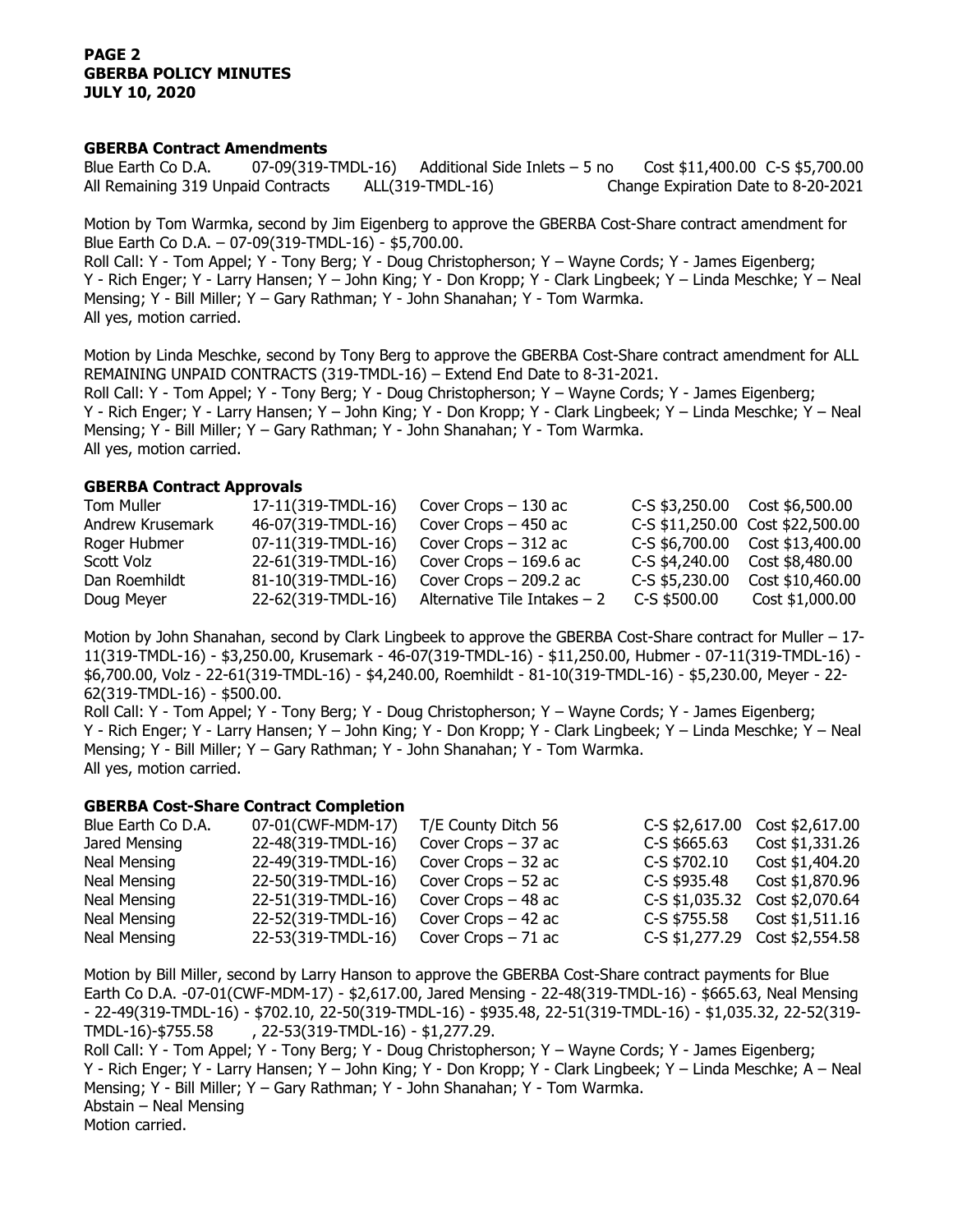## **PAGE 2 GBERBA POLICY MINUTES JULY 10, 2020**

#### **GBERBA Contract Amendments**

Blue Earth Co D.A. 07-09(319-TMDL-16) Additional Side Inlets – 5 no Cost \$11,400.00 C-S \$5,700.00 All Remaining 319 Unpaid Contracts ALL(319-TMDL-16) Change Expiration Date to 8-20-2021

Motion by Tom Warmka, second by Jim Eigenberg to approve the GBERBA Cost-Share contract amendment for Blue Earth Co D.A. – 07-09(319-TMDL-16) - \$5,700.00. Roll Call: Y - Tom Appel; Y - Tony Berg; Y - Doug Christopherson; Y – Wayne Cords; Y - James Eigenberg; Y - Rich Enger; Y - Larry Hansen; Y – John King; Y - Don Kropp; Y - Clark Lingbeek; Y – Linda Meschke; Y – Neal Mensing; Y - Bill Miller; Y – Gary Rathman; Y - John Shanahan; Y - Tom Warmka. All yes, motion carried.

Motion by Linda Meschke, second by Tony Berg to approve the GBERBA Cost-Share contract amendment for ALL REMAINING UNPAID CONTRACTS (319-TMDL-16) – Extend End Date to 8-31-2021. Roll Call: Y - Tom Appel; Y - Tony Berg; Y - Doug Christopherson; Y – Wayne Cords; Y - James Eigenberg; Y - Rich Enger; Y - Larry Hansen; Y – John King; Y - Don Kropp; Y - Clark Lingbeek; Y – Linda Meschke; Y – Neal Mensing; Y - Bill Miller; Y – Gary Rathman; Y - John Shanahan; Y - Tom Warmka. All yes, motion carried.

### **GBERBA Contract Approvals**

| Tom Muller       | 17-11(319-TMDL-16) | Cover Crops $-130$ ac         | $C-S$ \$3,250.00 Cost \$6,500.00 |                                  |
|------------------|--------------------|-------------------------------|----------------------------------|----------------------------------|
| Andrew Krusemark | 46-07(319-TMDL-16) | Cover Crops $-450$ ac         |                                  | C-S \$11,250.00 Cost \$22,500.00 |
| Roger Hubmer     | 07-11(319-TMDL-16) | Cover Crops - 312 ac          |                                  | C-S \$6,700.00 Cost \$13,400.00  |
| Scott Volz       | 22-61(319-TMDL-16) | Cover Crops $-169.6$ ac       | C-S \$4,240.00                   | Cost \$8,480.00                  |
| Dan Roemhildt    | 81-10(319-TMDL-16) | Cover Crops $-$ 209.2 ac      | $C-S$ \$5,230.00                 | Cost \$10,460.00                 |
| Doug Meyer       | 22-62(319-TMDL-16) | Alternative Tile Intakes $-2$ | C-S \$500.00                     | Cost \$1,000.00                  |

Motion by John Shanahan, second by Clark Lingbeek to approve the GBERBA Cost-Share contract for Muller – 17- 11(319-TMDL-16) - \$3,250.00, Krusemark - 46-07(319-TMDL-16) - \$11,250.00, Hubmer - 07-11(319-TMDL-16) - \$6,700.00, Volz - 22-61(319-TMDL-16) - \$4,240.00, Roemhildt - 81-10(319-TMDL-16) - \$5,230.00, Meyer - 22- 62(319-TMDL-16) - \$500.00.

Roll Call: Y - Tom Appel; Y - Tony Berg; Y - Doug Christopherson; Y – Wayne Cords; Y - James Eigenberg; Y - Rich Enger; Y - Larry Hansen; Y – John King; Y - Don Kropp; Y - Clark Lingbeek; Y – Linda Meschke; Y – Neal Mensing; Y - Bill Miller; Y – Gary Rathman; Y - John Shanahan; Y - Tom Warmka. All yes, motion carried.

## **GBERBA Cost-Share Contract Completion**

| Blue Earth Co D.A.  | 07-01(CWF-MDM-17)  | T/E County Ditch 56  | C-S \$2,617.00 | Cost \$2,617.00                |
|---------------------|--------------------|----------------------|----------------|--------------------------------|
| Jared Mensing       | 22-48(319-TMDL-16) | Cover Crops $-37$ ac | $C-S$ \$665.63 | Cost \$1,331.26                |
| Neal Mensing        | 22-49(319-TMDL-16) | Cover Crops $-32$ ac | C-S \$702.10   | Cost \$1,404.20                |
| Neal Mensing        | 22-50(319-TMDL-16) | Cover Crops $-52$ ac | C-S \$935.48   | Cost \$1,870.96                |
| Neal Mensing        | 22-51(319-TMDL-16) | Cover Crops $-48$ ac | C-S \$1,035.32 | Cost \$2,070.64                |
| <b>Neal Mensing</b> | 22-52(319-TMDL-16) | Cover Crops $-42$ ac | C-S \$755.58   | Cost \$1,511.16                |
| Neal Mensing        | 22-53(319-TMDL-16) | Cover Crops $-71$ ac |                | C-S \$1,277.29 Cost \$2,554.58 |

Motion by Bill Miller, second by Larry Hanson to approve the GBERBA Cost-Share contract payments for Blue Earth Co D.A. -07-01(CWF-MDM-17) - \$2,617.00, Jared Mensing - 22-48(319-TMDL-16) - \$665.63, Neal Mensing - 22-49(319-TMDL-16) - \$702.10, 22-50(319-TMDL-16) - \$935.48, 22-51(319-TMDL-16) - \$1,035.32, 22-52(319- TMDL-16)-\$755.58 , 22-53(319-TMDL-16) - \$1,277.29. Roll Call: Y - Tom Appel; Y - Tony Berg; Y - Doug Christopherson; Y – Wayne Cords; Y - James Eigenberg; Y - Rich Enger; Y - Larry Hansen; Y – John King; Y - Don Kropp; Y - Clark Lingbeek; Y – Linda Meschke; A – Neal

Mensing; Y - Bill Miller; Y – Gary Rathman; Y - John Shanahan; Y - Tom Warmka. Abstain – Neal Mensing Motion carried.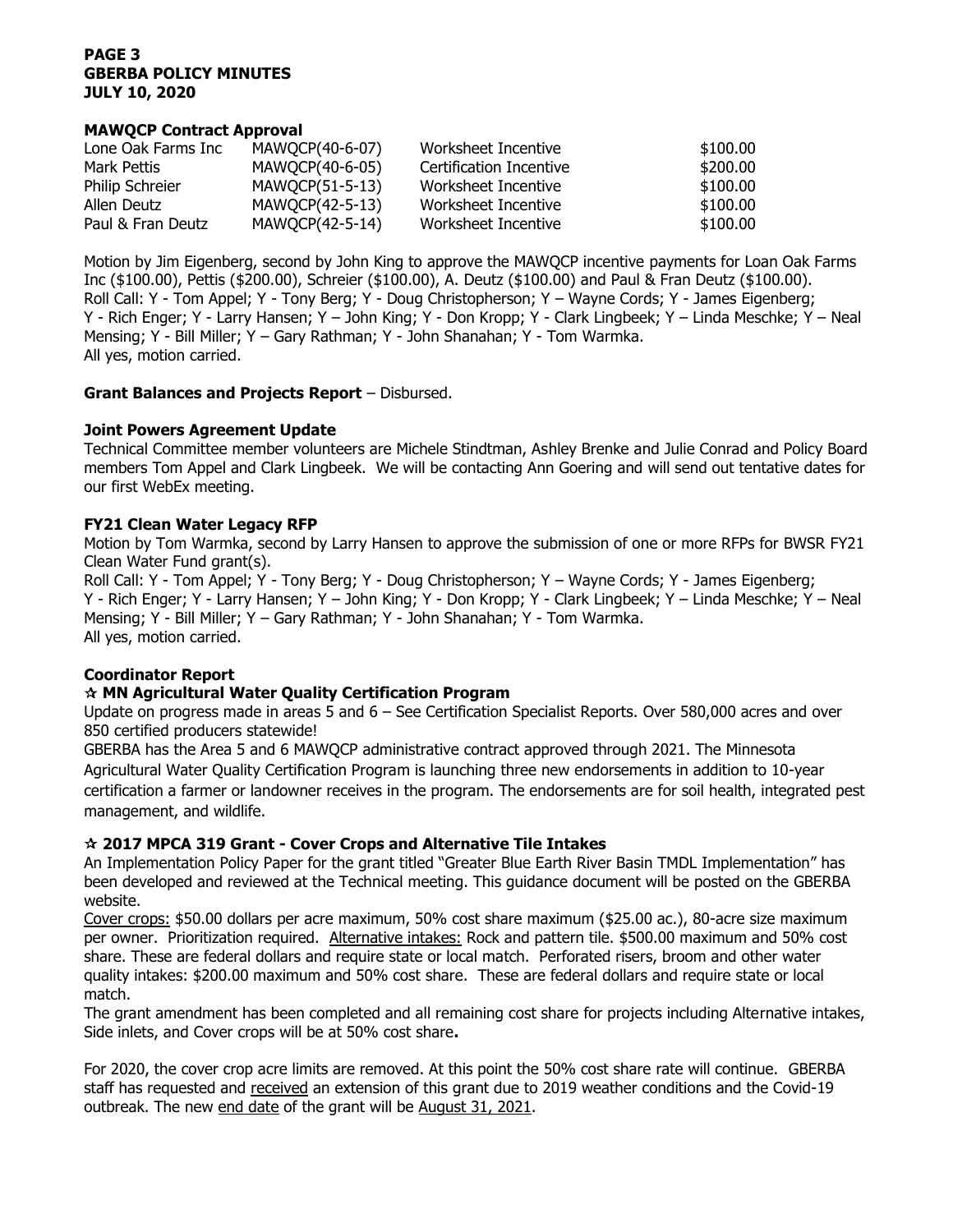# **PAGE 3 GBERBA POLICY MINUTES JULY 10, 2020**

## **MAWQCP Contract Approval**

| Lone Oak Farms Inc | MAWQCP(40-6-07) | Worksheet Incentive     | \$100.00 |
|--------------------|-----------------|-------------------------|----------|
| Mark Pettis        | MAWQCP(40-6-05) | Certification Incentive | \$200.00 |
| Philip Schreier    | MAWQCP(51-5-13) | Worksheet Incentive     | \$100.00 |
| Allen Deutz        | MAWQCP(42-5-13) | Worksheet Incentive     | \$100.00 |
| Paul & Fran Deutz  | MAWQCP(42-5-14) | Worksheet Incentive     | \$100.00 |

Motion by Jim Eigenberg, second by John King to approve the MAWQCP incentive payments for Loan Oak Farms Inc (\$100.00), Pettis (\$200.00), Schreier (\$100.00), A. Deutz (\$100.00) and Paul & Fran Deutz (\$100.00). Roll Call: Y - Tom Appel; Y - Tony Berg; Y - Doug Christopherson; Y – Wayne Cords; Y - James Eigenberg; Y - Rich Enger; Y - Larry Hansen; Y – John King; Y - Don Kropp; Y - Clark Lingbeek; Y – Linda Meschke; Y – Neal Mensing; Y - Bill Miller; Y – Gary Rathman; Y - John Shanahan; Y - Tom Warmka. All yes, motion carried.

### **Grant Balances and Projects Report** – Disbursed.

### **Joint Powers Agreement Update**

Technical Committee member volunteers are Michele Stindtman, Ashley Brenke and Julie Conrad and Policy Board members Tom Appel and Clark Lingbeek. We will be contacting Ann Goering and will send out tentative dates for our first WebEx meeting.

### **FY21 Clean Water Legacy RFP**

Motion by Tom Warmka, second by Larry Hansen to approve the submission of one or more RFPs for BWSR FY21 Clean Water Fund grant(s).

Roll Call: Y - Tom Appel; Y - Tony Berg; Y - Doug Christopherson; Y – Wayne Cords; Y - James Eigenberg; Y - Rich Enger; Y - Larry Hansen; Y – John King; Y - Don Kropp; Y - Clark Lingbeek; Y – Linda Meschke; Y – Neal Mensing; Y - Bill Miller; Y – Gary Rathman; Y - John Shanahan; Y - Tom Warmka. All yes, motion carried.

# **Coordinator Report**

# **MN Agricultural Water Quality Certification Program**

Update on progress made in areas 5 and 6 – See Certification Specialist Reports. Over 580,000 acres and over 850 certified producers statewide!

GBERBA has the Area 5 and 6 MAWQCP administrative contract approved through 2021. The Minnesota Agricultural Water Quality Certification Program is launching three new endorsements in addition to 10-year certification a farmer or landowner receives in the program. The endorsements are for soil health, integrated pest management, and wildlife.

# **2017 MPCA 319 Grant - Cover Crops and Alternative Tile Intakes**

An Implementation Policy Paper for the grant titled "Greater Blue Earth River Basin TMDL Implementation" has been developed and reviewed at the Technical meeting. This guidance document will be posted on the GBERBA website.

Cover crops: \$50.00 dollars per acre maximum, 50% cost share maximum (\$25.00 ac.), 80-acre size maximum per owner. Prioritization required. Alternative intakes: Rock and pattern tile. \$500.00 maximum and 50% cost share. These are federal dollars and require state or local match. Perforated risers, broom and other water quality intakes: \$200.00 maximum and 50% cost share. These are federal dollars and require state or local match.

The grant amendment has been completed and all remaining cost share for projects including Alternative intakes, Side inlets, and Cover crops will be at 50% cost share**.** 

For 2020, the cover crop acre limits are removed. At this point the 50% cost share rate will continue. GBERBA staff has requested and received an extension of this grant due to 2019 weather conditions and the Covid-19 outbreak. The new end date of the grant will be August 31, 2021.